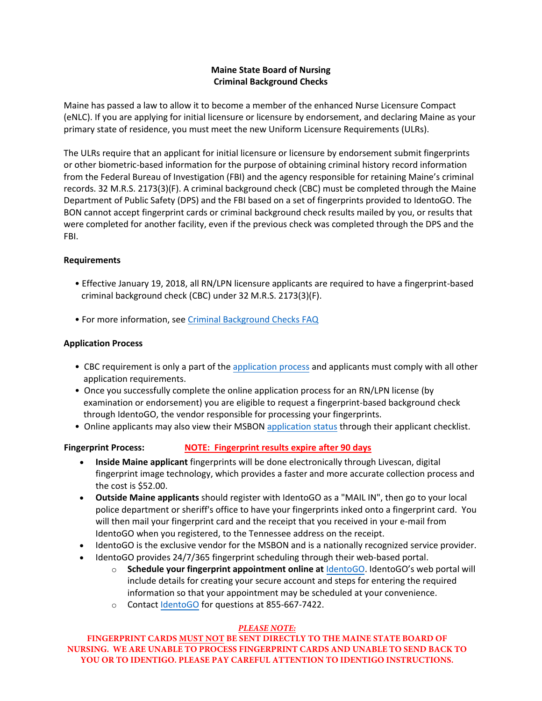# **Maine State Board of Nursing Criminal Background Checks**

Maine has passed a law to allow it to become a member of the enhanced Nurse Licensure Compact (eNLC). If you are applying for initial licensure or licensure by endorsement, and declaring Maine as your primary state of residence, you must meet the new Uniform Licensure Requirements (ULRs).

The ULRs require that an applicant for initial licensure or licensure by endorsement submit fingerprints or other biometric-based information for the purpose of obtaining criminal history record information from the Federal Bureau of Investigation (FBI) and the agency responsible for retaining Maine's criminal records. 32 M.R.S. 2173(3)(F). A criminal background check (CBC) must be completed through the Maine Department of Public Safety (DPS) and the FBI based on a set of fingerprints provided to IdentoGO. The BON cannot accept fingerprint cards or criminal background check results mailed by you, or results that were completed for another facility, even if the previous check was completed through the DPS and the FBI.

## **Requirements**

- Effective January 19, 2018, all RN/LPN licensure applicants are required to have a fingerprint-based criminal background check (CBC) under 32 M.R.S. 2173(3)(F).
- For more information, see [Criminal Background Checks](https://www.maine.gov/boardofnursing/docs/Criminal_Background_Check_FAQs_(Revised 4-6-2022).pdf) FAQ

## **Application Process**

- CBC requirement is only a part of the [application process](https://www.maine.gov/boardofnursing/licensing/index.html) and applicants must comply with all other application requirements.
- Once you successfully complete the online application process for an RN/LPN license (by examination or endorsement) you are eligible to request a fingerprint-based background check through IdentoGO, the vendor responsible for processing your fingerprints.
- Online applicants may also view their MSBON [application status](https://www.pfr.maine.gov/ALMSOnline/ALMSQuery/SearchIndividual.aspx?Board=1310) through their applicant checklist.

## **Fingerprint Process: NOTE: Fingerprint results expire after 90 days**

- **Inside Maine applicant** fingerprints will be done electronically through Livescan, digital fingerprint image technology, which provides a faster and more accurate collection process and the cost is \$52.00.
- **Outside Maine applicants** should register with IdentoGO as a "MAIL IN", then go to your local police department or sheriff's office to have your fingerprints inked onto a fingerprint card. You will then mail your fingerprint card and the receipt that you received in your e-mail from IdentoGO when you registered, to the Tennessee address on the receipt.
- IdentoGO is the exclusive vendor for the MSBON and is a nationally recognized service provider.
- IdentoGO provides 24/7/365 fingerprint scheduling through their web-based portal.
	- o **Schedule your fingerprint appointment online at** [IdentoGO.](https://me.ibtfingerprint.com/) IdentoGO's web portal will include details for creating your secure account and steps for entering the required information so that your appointment may be scheduled at your convenience.
	- o Contact [IdentoGO](https://me.ibtfingerprint.com/) for questions at 855-667-7422.

#### *PLEASE NOTE:*

**FINGERPRINT CARDS MUST NOT BE SENT DIRECTLY TO THE MAINE STATE BOARD OF NURSING. WE ARE UNABLE TO PROCESS FINGERPRINT CARDS AND UNABLE TO SEND BACK TO YOU OR TO IDENTIGO. PLEASE PAY CAREFUL ATTENTION TO IDENTIGO INSTRUCTIONS.**